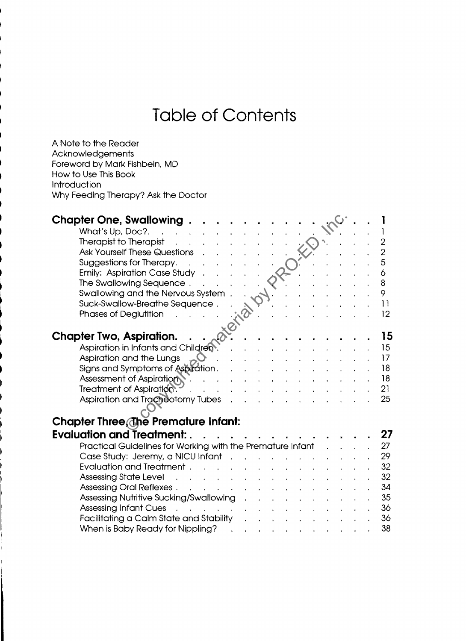## **Table of Contents**

A Note to the Reader Acknowledgements Foreword by Mark Fishbein, MD How to Use This Book Introduction Why Feeding Therapy? Ask the Doctor

| <b>Chapter One, Swallowing.</b>                                                           |                          |  |  |  |  |                |
|-------------------------------------------------------------------------------------------|--------------------------|--|--|--|--|----------------|
| What's Up, Doc?.                                                                          |                          |  |  |  |  |                |
| Therapist to Therapist                                                                    |                          |  |  |  |  | 2              |
| <b>Ask Yourself These Questions</b>                                                       |                          |  |  |  |  | $\overline{2}$ |
| Suggestions for Therapy.                                                                  |                          |  |  |  |  | 5              |
| Emily: Aspiration Case Study.                                                             |                          |  |  |  |  | 6              |
| The Swallowing Sequence.                                                                  |                          |  |  |  |  | 8              |
| Swallowing and the Nervous System.                                                        |                          |  |  |  |  | 9              |
| Suck-Swallow-Breathe Sequence.                                                            |                          |  |  |  |  | $\overline{1}$ |
| Phases of Deglutition                                                                     |                          |  |  |  |  | 12             |
| ate.                                                                                      |                          |  |  |  |  |                |
| <b>Chapter Two, Aspiration.</b>                                                           |                          |  |  |  |  | 15             |
| Aspiration in Infants and Children                                                        |                          |  |  |  |  | 15             |
| Aspiration and the Lungs                                                                  |                          |  |  |  |  | 17             |
|                                                                                           |                          |  |  |  |  | 18             |
| Signs and Symptoms of Aspiration.<br><b>Assessment of Aspiration</b>                      |                          |  |  |  |  | 18             |
| Treatment of Aspiration.                                                                  |                          |  |  |  |  | 21             |
|                                                                                           |                          |  |  |  |  | 25             |
| Aspiration and Tracheotomy Tubes                                                          |                          |  |  |  |  |                |
|                                                                                           |                          |  |  |  |  |                |
| Chapter Three, The Premature Infant:                                                      |                          |  |  |  |  |                |
| <b>Evaluation and Treatment:</b>                                                          |                          |  |  |  |  | 27             |
| Practical Guidelines for Working with the Premature Infant                                |                          |  |  |  |  | 27             |
| Case Study: Jeremy, a NICU Infant                                                         |                          |  |  |  |  | 29             |
| <b>Evaluation and Treatment.</b>                                                          |                          |  |  |  |  | 32             |
| Assessing State Level<br><b>Contract Contract</b>                                         | <b>Contract Contract</b> |  |  |  |  | 32             |
| Assessing Oral Reflexes.<br><b>Contractor</b><br>$\mathbf{A}^{\dagger}$                   |                          |  |  |  |  | 34             |
| Assessing Nutritive Sucking/Swallowing                                                    |                          |  |  |  |  | 35             |
| <b>Assessing Infant Cues</b><br>$\mathbf{r}$ , $\mathbf{r}$ , $\mathbf{r}$ , $\mathbf{r}$ |                          |  |  |  |  | 36             |
| Facilitating a Calm State and Stability                                                   |                          |  |  |  |  | 36             |
| When is Baby Ready for Nippling?                                                          |                          |  |  |  |  | 38             |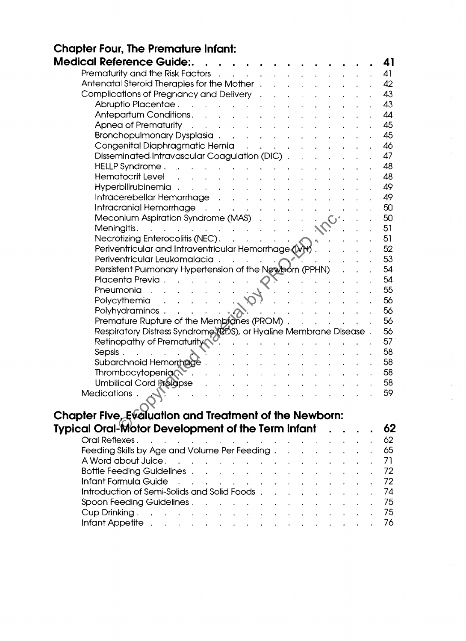| <b>Chapter Four, The Premature Infant:</b>                                                                                                                                                                                                                                                                                                                            |           |  |  |  |  |          |
|-----------------------------------------------------------------------------------------------------------------------------------------------------------------------------------------------------------------------------------------------------------------------------------------------------------------------------------------------------------------------|-----------|--|--|--|--|----------|
| <b>Medical Reference Guide:.</b>                                                                                                                                                                                                                                                                                                                                      |           |  |  |  |  | 41       |
| Prematurity and the Risk Factors<br>$\mathbf{r} = \mathbf{r} + \mathbf{r} + \mathbf{r} + \mathbf{r} + \mathbf{r}$                                                                                                                                                                                                                                                     |           |  |  |  |  | 41       |
| Antenatal Steroid Therapies for the Mother.                                                                                                                                                                                                                                                                                                                           |           |  |  |  |  | 42       |
| Complications of Pregnancy and Delivery .                                                                                                                                                                                                                                                                                                                             |           |  |  |  |  | 43       |
| Abruptio Placentae.<br>and the second control of the second                                                                                                                                                                                                                                                                                                           |           |  |  |  |  | 43       |
| Antepartum Conditions.<br>$\mathbf{r} = \mathbf{r} - \mathbf{r}$ , where $\mathbf{r} = \mathbf{r} - \mathbf{r}$                                                                                                                                                                                                                                                       |           |  |  |  |  | 44       |
| Apnea of Prematurity<br>$\mathcal{L}(\mathbf{r}) = \mathcal{L}(\mathbf{r})$ . The contract of the contract of the contract of the contract of the contract of the contract of the contract of the contract of the contract of the contract of the contract of the contract of                                                                                         |           |  |  |  |  | 45       |
| Bronchopulmonary Dysplasia                                                                                                                                                                                                                                                                                                                                            |           |  |  |  |  | 45       |
| Congenital Diaphragmatic Hernia                                                                                                                                                                                                                                                                                                                                       |           |  |  |  |  | 46       |
| Disseminated Intravascular Coagulation (DIC).                                                                                                                                                                                                                                                                                                                         |           |  |  |  |  | 47       |
| HELLP Syndrome.<br>and the company of the company of the company of the company of the company of the company of the company of the company of the company of the company of the company of the company of the company of the company of the comp                                                                                                                     |           |  |  |  |  | 48       |
| <b>Hematocrit Level</b>                                                                                                                                                                                                                                                                                                                                               |           |  |  |  |  | 48       |
| Hyperbilirubinemia.                                                                                                                                                                                                                                                                                                                                                   |           |  |  |  |  | 49       |
| Intracerebellar Hemorrhage No. 2010 No. 10 No. 10 No. 10 No. 10 No. 10 No. 10 No. 10 No. 10 No. 10 No. 10 No. 1                                                                                                                                                                                                                                                       |           |  |  |  |  | 49       |
| Intracranial Hemorrhage<br><b>Carl Carl Carl</b>                                                                                                                                                                                                                                                                                                                      |           |  |  |  |  | 50       |
| Meconium Aspiration Syndrome (MAS) .                                                                                                                                                                                                                                                                                                                                  |           |  |  |  |  | 50       |
| Meningitis.<br>and a straightful contract and a straight                                                                                                                                                                                                                                                                                                              |           |  |  |  |  | 51       |
|                                                                                                                                                                                                                                                                                                                                                                       |           |  |  |  |  | 51       |
| Periventricular and Intraventricular Hemorrhage (VH).                                                                                                                                                                                                                                                                                                                 |           |  |  |  |  | 52       |
| Periventricular Leukomalacia.                                                                                                                                                                                                                                                                                                                                         |           |  |  |  |  | 53       |
| Persistent Pulmonary Hypertension of the Newborn (PPHN)                                                                                                                                                                                                                                                                                                               |           |  |  |  |  | 54       |
| Placenta Previa .<br>$\mathbf{r}$ , $\mathbf{r}$ , $\mathbf{r}$ , $\mathbf{r}$ , $\mathbf{r}$ , $\mathbf{r}$                                                                                                                                                                                                                                                          |           |  |  |  |  | 54       |
| Pneumonia<br><b><i>Contract Contract Artists Artists Artists Artists Artists Artists Artists Artists Artists Artists Artists Artists Artists Artists Artists Artists Artists Artists Artists Artists Artists Artists Artists Artists Artists Ar</i></b>                                                                                                               |           |  |  |  |  | 55<br>56 |
| $\sim$<br>Polycythemia<br>Polyhydraminos.<br>$\cdots$ $\cdots$ $\alpha$                                                                                                                                                                                                                                                                                               |           |  |  |  |  | 56       |
| Premature Rupture of the Membranes (PROM).                                                                                                                                                                                                                                                                                                                            |           |  |  |  |  | 56       |
| Respiratory Distress Syndrome (RDS), or Hyaline Membrane Disease.                                                                                                                                                                                                                                                                                                     |           |  |  |  |  | 56       |
| Retinopathy of Prematurity                                                                                                                                                                                                                                                                                                                                            |           |  |  |  |  | 57       |
| Sepsis.                                                                                                                                                                                                                                                                                                                                                               |           |  |  |  |  | 58       |
| Subarchnoid Hemorrhage.                                                                                                                                                                                                                                                                                                                                               |           |  |  |  |  | 58       |
| Thrombocytopenia                                                                                                                                                                                                                                                                                                                                                      |           |  |  |  |  | 58       |
| <b>Umbilical Cord Prolapse</b>                                                                                                                                                                                                                                                                                                                                        |           |  |  |  |  | 58       |
| Medications.                                                                                                                                                                                                                                                                                                                                                          |           |  |  |  |  | 59       |
|                                                                                                                                                                                                                                                                                                                                                                       |           |  |  |  |  |          |
| Chapter Five, Evaluation and Treatment of the Newborn:                                                                                                                                                                                                                                                                                                                |           |  |  |  |  |          |
|                                                                                                                                                                                                                                                                                                                                                                       |           |  |  |  |  | 62       |
| <b>Typical Oral-Motor Development of the Term Infant</b>                                                                                                                                                                                                                                                                                                              |           |  |  |  |  |          |
| Oral Reflexes.<br>and the contract of the contract of the contract of the contract of the contract of the contract of the contract of the contract of the contract of the contract of the contract of the contract of the contract of the contra<br>$\mathbf{r}$                                                                                                      |           |  |  |  |  | 62<br>65 |
| Feeding Skills by Age and Volume Per Feeding.<br>A Word about Juice,                                                                                                                                                                                                                                                                                                  |           |  |  |  |  | 71       |
| <b>Bottle Feeding Guidelines</b> .                                                                                                                                                                                                                                                                                                                                    |           |  |  |  |  | 72       |
| $\mathbf{r} = \mathbf{r} + \mathbf{r} + \mathbf{r}$<br>Infant Formula Guide                                                                                                                                                                                                                                                                                           | $\sim 10$ |  |  |  |  | 72       |
| the contract of the contract of the contract of the contract of the contract of the contract of the contract of<br>Introduction of Semi-Solids and Solid Foods.                                                                                                                                                                                                       |           |  |  |  |  | 74       |
| Spoon Feeding Guidelines                                                                                                                                                                                                                                                                                                                                              |           |  |  |  |  | 75       |
| Cup Drinking.                                                                                                                                                                                                                                                                                                                                                         |           |  |  |  |  | 75       |
| the contract of the contract of the contract of the contract of the contract of the contract of the contract of<br>Infant Appetite.<br>and a strong control of the state of the state of the state of the state of the state of the state of the state of the state of the state of the state of the state of the state of the state of the state of the state of the |           |  |  |  |  | 76       |
|                                                                                                                                                                                                                                                                                                                                                                       |           |  |  |  |  |          |

 $\frac{1}{2}$ 

 $\begin{aligned} \frac{1}{\sqrt{2\pi}}\frac{1}{\sqrt{2\pi}}\frac{1}{\sqrt{2\pi}}\frac{1}{\sqrt{2\pi}}\frac{1}{\sqrt{2\pi}}\frac{1}{\sqrt{2\pi}}\frac{1}{\sqrt{2\pi}}\frac{1}{\sqrt{2\pi}}\frac{1}{\sqrt{2\pi}}\frac{1}{\sqrt{2\pi}}\frac{1}{\sqrt{2\pi}}\frac{1}{\sqrt{2\pi}}\frac{1}{\sqrt{2\pi}}\frac{1}{\sqrt{2\pi}}\frac{1}{\sqrt{2\pi}}\frac{1}{\sqrt{2\pi}}\frac{1}{\sqrt{2\pi}}\frac{1}{\sqrt{2\pi$ 

 $\label{eq:2} \frac{1}{\sqrt{2}}\int_0^1\frac{1}{\sqrt{2}}\left(\frac{1}{\sqrt{2}}\right)^2\frac{1}{2}d\mu$ 

 $\hat{\mathcal{S}}$ 

 $\begin{array}{c} \mathbf{y} \\ \mathbf{y} \\ \mathbf{y} \end{array}$ 

 $\frac{1}{2}$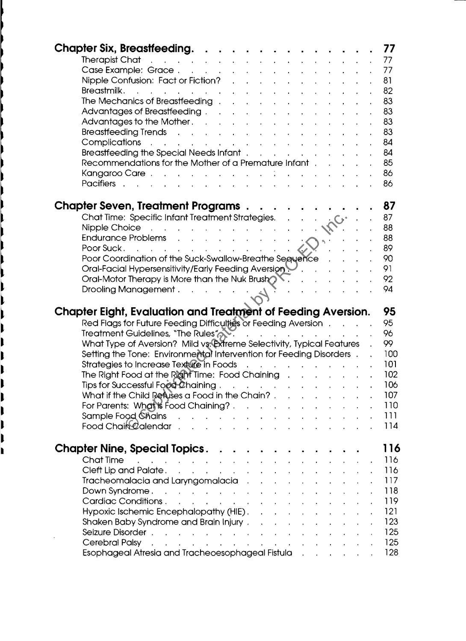| <b>Chapter Six, Breastfeeding</b>                                                                                                                                                                                                                                                                                                               |                                |  |                                   |  | 77         |
|-------------------------------------------------------------------------------------------------------------------------------------------------------------------------------------------------------------------------------------------------------------------------------------------------------------------------------------------------|--------------------------------|--|-----------------------------------|--|------------|
| Therapist Chat research and the contract of the contract of the contract of the contract of the contract of the                                                                                                                                                                                                                                 |                                |  |                                   |  | 77         |
| Case Example: Grace                                                                                                                                                                                                                                                                                                                             |                                |  |                                   |  | 77         |
| Nipple Confusion: Fact or Fiction?                                                                                                                                                                                                                                                                                                              |                                |  |                                   |  | 81         |
| Breastmilk.<br><u>.</u><br>The contract of the contract of the contract of the contract of the contract of the contract of the contract of                                                                                                                                                                                                      |                                |  |                                   |  | 82         |
| The Mechanics of Breastfeeding with the contract of the Mechanics of Breastfeeding with the contract of the contract of the Mechanics of the Mechanics of the contract of the Mechanics of the Mechanics of the Mechanics of t                                                                                                                  |                                |  |                                   |  | 83         |
| Advantages of Breastfeeding                                                                                                                                                                                                                                                                                                                     |                                |  |                                   |  | 83         |
| Advantages to the Mother. A contact the contact of the Mother.                                                                                                                                                                                                                                                                                  |                                |  |                                   |  | 83         |
| Breastfeeding Trends                                                                                                                                                                                                                                                                                                                            |                                |  |                                   |  | 83         |
| Complications                                                                                                                                                                                                                                                                                                                                   |                                |  |                                   |  | 84         |
| Breastfeeding the Special Needs Infant                                                                                                                                                                                                                                                                                                          |                                |  |                                   |  | 84         |
|                                                                                                                                                                                                                                                                                                                                                 |                                |  |                                   |  | 85         |
| Recommendations for the Mother of a Premature Infant.                                                                                                                                                                                                                                                                                           |                                |  |                                   |  |            |
| Kangaroo Care                                                                                                                                                                                                                                                                                                                                   |                                |  |                                   |  | 86         |
| Pacifiers research and the set of the set of the set of the set of the set of the set of the set of the set of                                                                                                                                                                                                                                  |                                |  |                                   |  | 86         |
|                                                                                                                                                                                                                                                                                                                                                 |                                |  |                                   |  |            |
| Chapter Seven, Treatment Programs                                                                                                                                                                                                                                                                                                               |                                |  |                                   |  | 87         |
| Chat Time: Specific Infant Treatment Strategies.                                                                                                                                                                                                                                                                                                |                                |  | $\cdot \cdot \cdot \cdot$ . $C^*$ |  | 87         |
| Nipple Choice <b>Acceleration of the Choice</b> and Acceleration of the Marian Choice of the Marian Choice of the Marian Choice of the Marian Choice of the Marian Choice of the Marian Choice of the Marian Choice of the Marian C                                                                                                             |                                |  |                                   |  | 88         |
| Endurance Problems<br>Endurance Problems                                                                                                                                                                                                                                                                                                        |                                |  |                                   |  | 88         |
| Poor Suck $\cdots$ $\cdots$ $\cdots$                                                                                                                                                                                                                                                                                                            |                                |  |                                   |  | 89         |
| Poor Coordination of the Suck-Swallow-Breathe Sequence                                                                                                                                                                                                                                                                                          |                                |  |                                   |  | 90         |
| Oral-Facial Hypersensitivity/Early Feeding Aversion                                                                                                                                                                                                                                                                                             |                                |  |                                   |  | 91         |
| Oral-Motor Therapy is More than the Nuk Brush $\mathcal{N}$ .                                                                                                                                                                                                                                                                                   |                                |  |                                   |  | 92         |
| Drooling Management $\ldots$ $\ldots$ $\ldots$                                                                                                                                                                                                                                                                                                  |                                |  |                                   |  | 94         |
|                                                                                                                                                                                                                                                                                                                                                 |                                |  |                                   |  |            |
|                                                                                                                                                                                                                                                                                                                                                 |                                |  |                                   |  |            |
|                                                                                                                                                                                                                                                                                                                                                 |                                |  |                                   |  |            |
| Chapter Eight, Evaluation and Treatment of Feeding Aversion.                                                                                                                                                                                                                                                                                    |                                |  |                                   |  | 95         |
| Red Flags for Future Feeding Difficulties or Feeding Aversion                                                                                                                                                                                                                                                                                   |                                |  |                                   |  | 95         |
| Treatment Guidelines, "The Rules" and the contract of the contract of the Rules of Allen and the contract of the contract of the contract of the contract of the contract of the contract of the contract of the contract of t                                                                                                                  |                                |  |                                   |  | 96         |
| What Type of Aversion? Mild vs. Extreme Selectivity, Typical Features                                                                                                                                                                                                                                                                           |                                |  |                                   |  | 99         |
| Setting the Tone: Environmental Intervention for Feeding Disorders.                                                                                                                                                                                                                                                                             |                                |  |                                   |  | 100        |
| Strategies to Increase Texture in Foods                                                                                                                                                                                                                                                                                                         |                                |  |                                   |  | 101        |
| The Right Food at the Right Time: Food Chaining $\ldots$ , $\ldots$                                                                                                                                                                                                                                                                             |                                |  |                                   |  | 102        |
| Tips for Successful Food Chaining                                                                                                                                                                                                                                                                                                               |                                |  |                                   |  | 106        |
| What if the Child Refuses a Food in the Chain? $\ldots$ $\ldots$ $\ldots$ $\ldots$                                                                                                                                                                                                                                                              |                                |  |                                   |  | 107        |
| For Parents: What is Food Chaining?                                                                                                                                                                                                                                                                                                             |                                |  |                                   |  | 110        |
| Sample Food Chains                                                                                                                                                                                                                                                                                                                              |                                |  |                                   |  | 111        |
| Food Chair Qalendar                                                                                                                                                                                                                                                                                                                             |                                |  |                                   |  | 114        |
|                                                                                                                                                                                                                                                                                                                                                 |                                |  |                                   |  |            |
| <b>Chapter Nine, Special Topics.</b>                                                                                                                                                                                                                                                                                                            | <b><i>Contract Art Art</i></b> |  |                                   |  | 116        |
| Chat Time<br>the contract of the contract of the contract of the contract of the contract of                                                                                                                                                                                                                                                    |                                |  |                                   |  | 116        |
| Cleft Lip and Palate. The contract of the contract of the contract of the contract of the contract of the contract of the contract of the contract of the contract of the contract of the contract of the contract of the cont                                                                                                                  |                                |  |                                   |  | 116        |
| Tracheomalacia and Laryngomalacia and all and the series and the series of the series of the series of the series of the series of the series of the series of the series of the series of the series of the series of the ser                                                                                                                  |                                |  |                                   |  | 117        |
|                                                                                                                                                                                                                                                                                                                                                 |                                |  |                                   |  | 118        |
| Down Syndrome. The contract of the contract of the contract of the contract of the contract of the contract of                                                                                                                                                                                                                                  |                                |  |                                   |  | 119        |
| Cardiac Conditions.                                                                                                                                                                                                                                                                                                                             |                                |  |                                   |  | 121        |
| Hypoxic Ischemic Encephalopathy (HIE). A contract the state of the state of the HI state of the HI state of the                                                                                                                                                                                                                                 |                                |  |                                   |  |            |
| Shaken Baby Syndrome and Brain Injury                                                                                                                                                                                                                                                                                                           |                                |  |                                   |  | 123        |
|                                                                                                                                                                                                                                                                                                                                                 |                                |  |                                   |  | 125        |
| Cerebral Palsy with a community of the community of the community of the community of the community of the community of the community of the community of the community of the community of the community of the community of<br>Esophageal Atresia and Tracheoesophageal Fistula Album Album Atres and Tracheoesophageal Fistula Album Album A |                                |  |                                   |  | 125<br>128 |